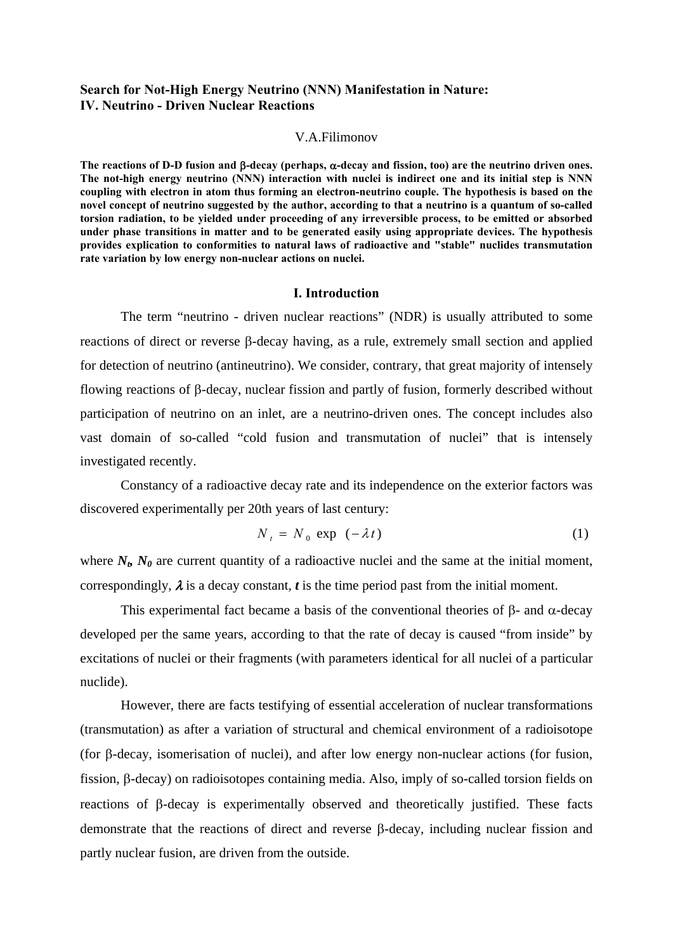# **Search for Not-High Energy Neutrino (NNN) Manifestation in Nature: IV. Neutrino - Driven Nuclear Reactions**

#### V.A.Filimonov

**The reactions of D-D fusion and** β**-decay (perhaps,** α**-decay and fission, too) are the neutrino driven ones. The not-high energy neutrino (NNN) interaction with nuclei is indirect one and its initial step is NNN coupling with electron in atom thus forming an electron-neutrino couple. The hypothesis is based on the novel concept of neutrino suggested by the author, according to that a neutrino is a quantum of so-called torsion radiation, to be yielded under proceeding of any irreversible process, to be emitted or absorbed under phase transitions in matter and to be generated easily using appropriate devices. The hypothesis provides explication to conformities to natural laws of radioactive and "stable" nuclides transmutation rate variation by low energy non-nuclear actions on nuclei.** 

### **I. Introduction**

The term "neutrino - driven nuclear reactions" (NDR) is usually attributed to some reactions of direct or reverse β-decay having, as a rule, extremely small section and applied for detection of neutrino (antineutrino). We consider, contrary, that great majority of intensely flowing reactions of β-decay, nuclear fission and partly of fusion, formerly described without participation of neutrino on an inlet, are a neutrino-driven ones. The concept includes also vast domain of so-called "cold fusion and transmutation of nuclei" that is intensely investigated recently.

Constancy of a radioactive decay rate and its independence on the exterior factors was discovered experimentally per 20th years of last century:

$$
N_t = N_0 \exp(-\lambda t) \tag{1}
$$

where  $N_b$ ,  $N_\theta$  are current quantity of a radioactive nuclei and the same at the initial moment, correspondingly,  $\lambda$  is a decay constant,  $t$  is the time period past from the initial moment.

This experimental fact became a basis of the conventional theories of β- and  $α$ -decay developed per the same years, according to that the rate of decay is caused "from inside" by excitations of nuclei or their fragments (with parameters identical for all nuclei of a particular nuclide).

However, there are facts testifying of essential acceleration of nuclear transformations (transmutation) as after a variation of structural and chemical environment of a radioisotope (for β-decay, isomerisation of nuclei), and after low energy non-nuclear actions (for fusion, fission, β-decay) on radioisotopes containing media. Also, imply of so-called torsion fields on reactions of β-decay is experimentally observed and theoretically justified. These facts demonstrate that the reactions of direct and reverse β-decay, including nuclear fission and partly nuclear fusion, are driven from the outside.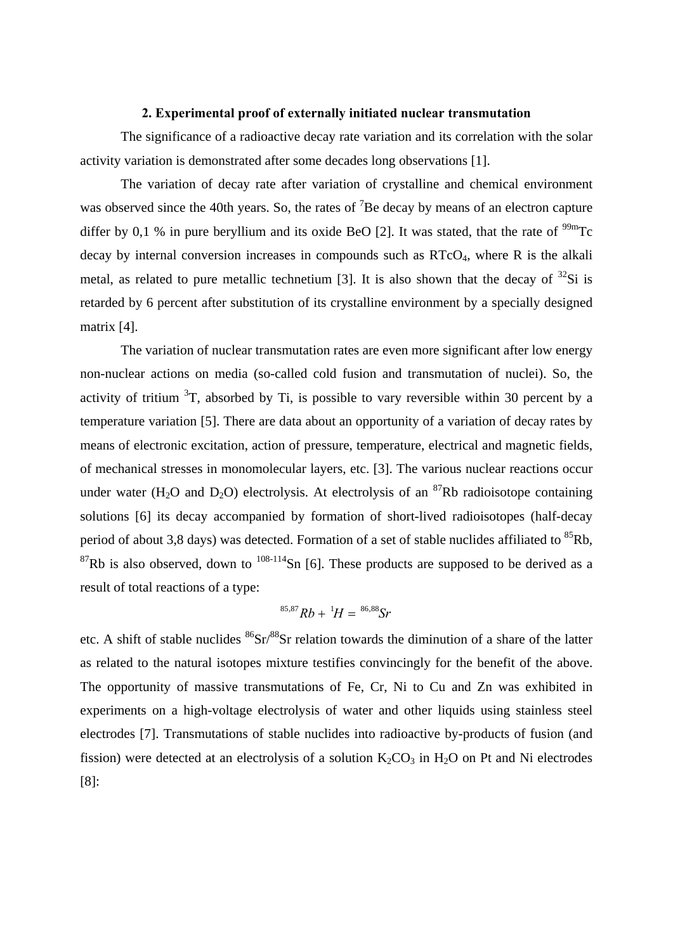## **2. Experimental proof of externally initiated nuclear transmutation**

The significance of a radioactive decay rate variation and its correlation with the solar activity variation is demonstrated after some decades long observations [1].

The variation of decay rate after variation of crystalline and chemical environment was observed since the 40th years. So, the rates of  ${}^{7}$ Be decay by means of an electron capture differ by 0,1 % in pure beryllium and its oxide BeO [2]. It was stated, that the rate of  $^{99m}$ Tc decay by internal conversion increases in compounds such as  $RTCO<sub>4</sub>$ , where R is the alkali metal, as related to pure metallic technetium [3]. It is also shown that the decay of  $^{32}Si$  is retarded by 6 percent after substitution of its crystalline environment by a specially designed matrix [4].

The variation of nuclear transmutation rates are even more significant after low energy non-nuclear actions on media (so-called cold fusion and transmutation of nuclei). So, the activity of tritium  ${}^{3}T$ , absorbed by Ti, is possible to vary reversible within 30 percent by a temperature variation [5]. There are data about an opportunity of a variation of decay rates by means of electronic excitation, action of pressure, temperature, electrical and magnetic fields, of mechanical stresses in monomolecular layers, etc. [3]. The various nuclear reactions occur under water (H<sub>2</sub>O and D<sub>2</sub>O) electrolysis. At electrolysis of an <sup>87</sup>Rb radioisotope containing solutions [6] its decay accompanied by formation of short-lived radioisotopes (half-decay period of about 3,8 days) was detected. Formation of a set of stable nuclides affiliated to <sup>85</sup>Rb,  ${}^{87}$ Rb is also observed, down to  ${}^{108-114}$ Sn [6]. These products are supposed to be derived as a result of total reactions of a type:

$$
{}^{85,87}Rb + {}^{1}H = {}^{86,88}Sr
$$

etc. A shift of stable nuclides  ${}^{86}Sr/{}^{88}Sr$  relation towards the diminution of a share of the latter as related to the natural isotopes mixture testifies convincingly for the benefit of the above. The opportunity of massive transmutations of Fe, Cr, Ni to Cu and Zn was exhibited in experiments on a high-voltage electrolysis of water and other liquids using stainless steel electrodes [7]. Transmutations of stable nuclides into radioactive by-products of fusion (and fission) were detected at an electrolysis of a solution  $K_2CO_3$  in  $H_2O$  on Pt and Ni electrodes [8]: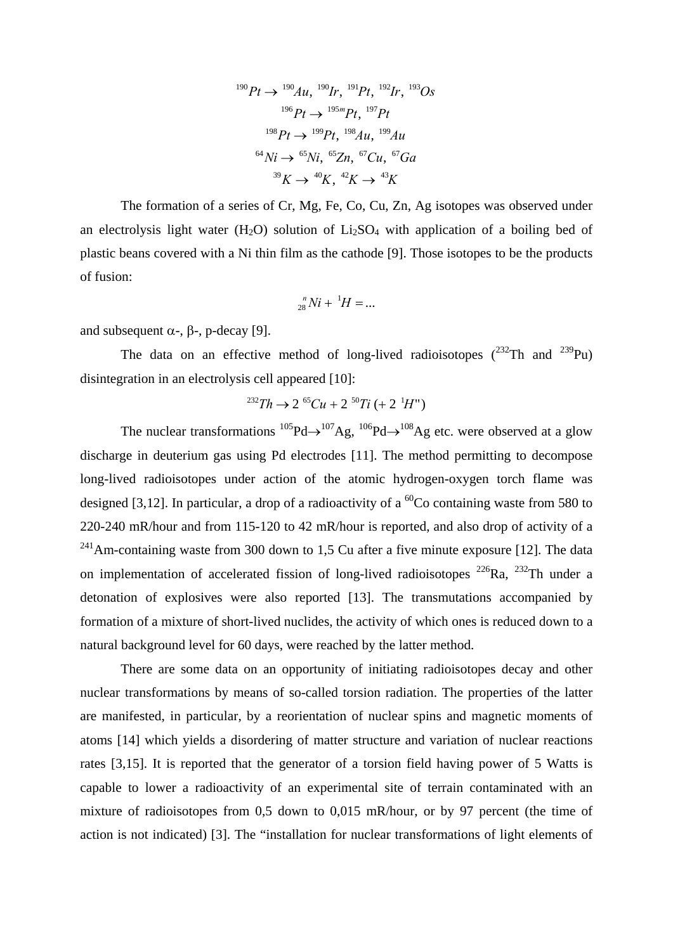$$
^{190}Pt \rightarrow ^{190}Au, ^{190}Ir, ^{191}Pt, ^{192}Ir, ^{193}Os
$$
  

$$
^{196}Pt \rightarrow ^{195m}Pt, ^{197}Pt
$$
  

$$
^{198}Pt \rightarrow ^{199}Pt, ^{198}Au, ^{199}Au
$$
  

$$
^{64}Ni \rightarrow ^{65}Ni, ^{65}Zn, ^{67}Cu, ^{67}Ga
$$
  

$$
^{39}K \rightarrow ^{40}K, ^{42}K \rightarrow ^{43}K
$$

The formation of a series of Cr, Mg, Fe, Co, Cu, Zn, Ag isotopes was observed under an electrolysis light water  $(H_2O)$  solution of Li<sub>2</sub>SO<sub>4</sub> with application of a boiling bed of plastic beans covered with a Ni thin film as the cathode [9]. Those isotopes to be the products of fusion:

$$
_{28}^{n}Ni+~^{1}H=...
$$

and subsequent  $\alpha$ -,  $\beta$ -, p-decay [9].

The data on an effective method of long-lived radioisotopes  $(^{232}Th$  and  $^{239}Pu$ ) disintegration in an electrolysis cell appeared [10]:

$$
^{232}Th \rightarrow 2^{65}Cu + 2^{50}Ti \ (+ 2^{1}H")
$$

The nuclear transformations  $^{105}Pd \rightarrow ^{107}Ag$ ,  $^{106}Pd \rightarrow ^{108}Ag$  etc. were observed at a glow discharge in deuterium gas using Pd electrodes [11]. The method permitting to decompose long-lived radioisotopes under action of the atomic hydrogen-oxygen torch flame was designed [3,12]. In particular, a drop of a radioactivity of a  ${}^{60}Co$  containing waste from 580 to 220-240 mR/hour and from 115-120 to 42 mR/hour is reported, and also drop of activity of a  $^{241}$ Am-containing waste from 300 down to 1,5 Cu after a five minute exposure [12]. The data on implementation of accelerated fission of long-lived radioisotopes  $^{226}Ra$ ,  $^{232}Th$  under a detonation of explosives were also reported [13]. The transmutations accompanied by formation of a mixture of short-lived nuclides, the activity of which ones is reduced down to a natural background level for 60 days, were reached by the latter method.

There are some data on an opportunity of initiating radioisotopes decay and other nuclear transformations by means of so-called torsion radiation. The properties of the latter are manifested, in particular, by a reorientation of nuclear spins and magnetic moments of atoms [14] which yields a disordering of matter structure and variation of nuclear reactions rates [3,15]. It is reported that the generator of a torsion field having power of 5 Watts is capable to lower a radioactivity of an experimental site of terrain contaminated with an mixture of radioisotopes from 0,5 down to 0,015 mR/hour, or by 97 percent (the time of action is not indicated) [3]. The "installation for nuclear transformations of light elements of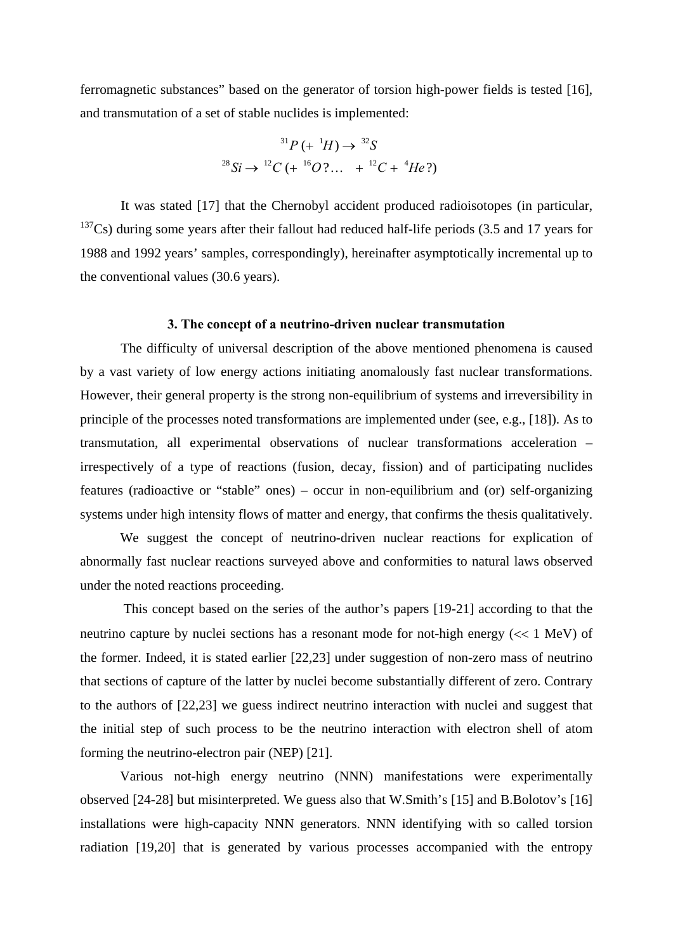ferromagnetic substances" based on the generator of torsion high-power fields is tested [16], and transmutation of a set of stable nuclides is implemented:

<sup>31</sup>P (+ <sup>1</sup>H) 
$$
\rightarrow
$$
 <sup>32</sup>S  
<sup>28</sup>Si  $\rightarrow$  <sup>12</sup>C (+ <sup>16</sup>O?... + <sup>12</sup>C + <sup>4</sup>He?)

It was stated [17] that the Chernobyl accident produced radioisotopes (in particular,  $137Cs$ ) during some years after their fallout had reduced half-life periods (3.5 and 17 years for 1988 and 1992 years' samples, correspondingly), hereinafter asymptotically incremental up to the conventional values (30.6 years).

#### **3. The concept of a neutrino-driven nuclear transmutation**

The difficulty of universal description of the above mentioned phenomena is caused by a vast variety of low energy actions initiating anomalously fast nuclear transformations. However, their general property is the strong non-equilibrium of systems and irreversibility in principle of the processes noted transformations are implemented under (see, e.g., [18]). As to transmutation, all experimental observations of nuclear transformations acceleration – irrespectively of a type of reactions (fusion, decay, fission) and of participating nuclides features (radioactive or "stable" ones) – occur in non-equilibrium and (or) self-organizing systems under high intensity flows of matter and energy, that confirms the thesis qualitatively.

We suggest the concept of neutrino-driven nuclear reactions for explication of abnormally fast nuclear reactions surveyed above and conformities to natural laws observed under the noted reactions proceeding.

 This concept based on the series of the author's papers [19-21] according to that the neutrino capture by nuclei sections has a resonant mode for not-high energy (<< 1 MeV) of the former. Indeed, it is stated earlier [22,23] under suggestion of non-zero mass of neutrino that sections of capture of the latter by nuclei become substantially different of zero. Contrary to the authors of [22,23] we guess indirect neutrino interaction with nuclei and suggest that the initial step of such process to be the neutrino interaction with electron shell of atom forming the neutrino-electron pair (NEP) [21].

Various not-high energy neutrino (NNN) manifestations were experimentally observed [24-28] but misinterpreted. We guess also that W.Smith's [15] and B.Bolotov's [16] installations were high-capacity NNN generators. NNN identifying with so called torsion radiation [19,20] that is generated by various processes accompanied with the entropy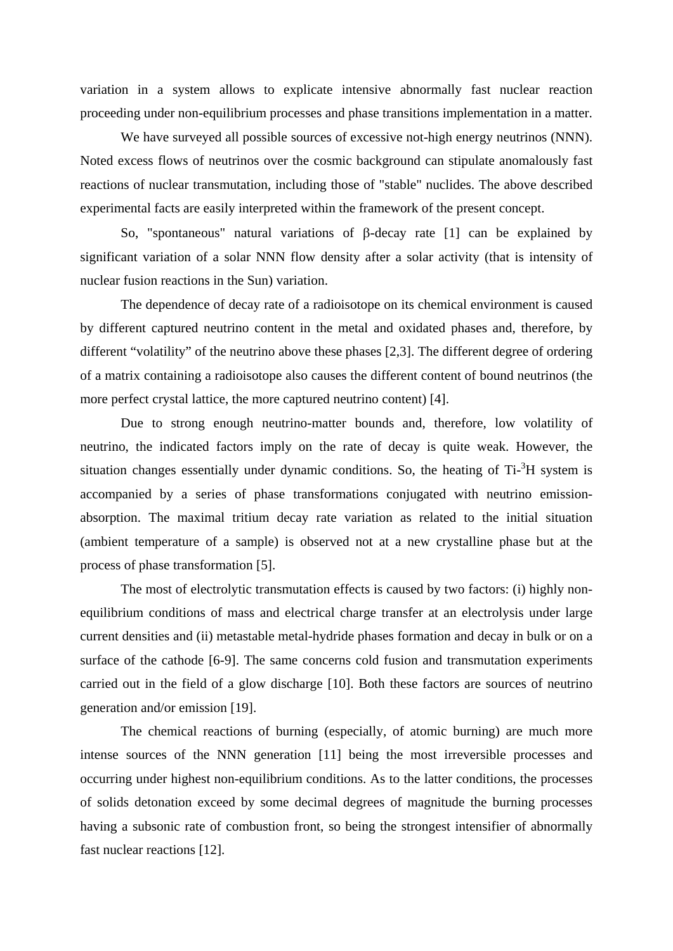variation in a system allows to explicate intensive abnormally fast nuclear reaction proceeding under non-equilibrium processes and phase transitions implementation in a matter.

We have surveyed all possible sources of excessive not-high energy neutrinos (NNN). Noted excess flows of neutrinos over the cosmic background can stipulate anomalously fast reactions of nuclear transmutation, including those of "stable" nuclides. The above described experimental facts are easily interpreted within the framework of the present concept.

So, "spontaneous" natural variations of β-decay rate [1] can be explained by significant variation of a solar NNN flow density after a solar activity (that is intensity of nuclear fusion reactions in the Sun) variation.

The dependence of decay rate of a radioisotope on its chemical environment is caused by different captured neutrino content in the metal and oxidated phases and, therefore, by different "volatility" of the neutrino above these phases [2,3]. The different degree of ordering of a matrix containing a radioisotope also causes the different content of bound neutrinos (the more perfect crystal lattice, the more captured neutrino content) [4].

Due to strong enough neutrino-matter bounds and, therefore, low volatility of neutrino, the indicated factors imply on the rate of decay is quite weak. However, the situation changes essentially under dynamic conditions. So, the heating of  $Ti$ - ${}^{3}H$  system is accompanied by a series of phase transformations conjugated with neutrino emissionabsorption. The maximal tritium decay rate variation as related to the initial situation (ambient temperature of a sample) is observed not at a new crystalline phase but at the process of phase transformation [5].

The most of electrolytic transmutation effects is caused by two factors: (i) highly nonequilibrium conditions of mass and electrical charge transfer at an electrolysis under large current densities and (ii) metastable metal-hydride phases formation and decay in bulk or on a surface of the cathode [6-9]. The same concerns cold fusion and transmutation experiments carried out in the field of a glow discharge [10]. Both these factors are sources of neutrino generation and/or emission [19].

The chemical reactions of burning (especially, of atomic burning) are much more intense sources of the NNN generation [11] being the most irreversible processes and occurring under highest non-equilibrium conditions. As to the latter conditions, the processes of solids detonation exceed by some decimal degrees of magnitude the burning processes having a subsonic rate of combustion front, so being the strongest intensifier of abnormally fast nuclear reactions [12].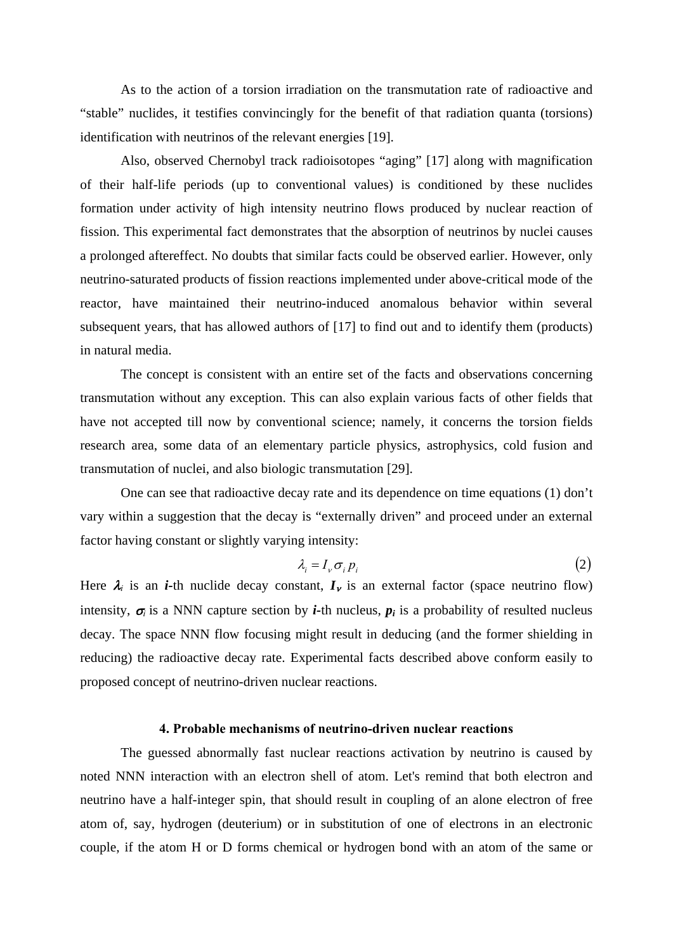As to the action of a torsion irradiation on the transmutation rate of radioactive and "stable" nuclides, it testifies convincingly for the benefit of that radiation quanta (torsions) identification with neutrinos of the relevant energies [19].

Also, observed Chernobyl track radioisotopes "aging" [17] along with magnification of their half-life periods (up to conventional values) is conditioned by these nuclides formation under activity of high intensity neutrino flows produced by nuclear reaction of fission. This experimental fact demonstrates that the absorption of neutrinos by nuclei causes a prolonged aftereffect. No doubts that similar facts could be observed earlier. However, only neutrino-saturated products of fission reactions implemented under above-critical mode of the reactor, have maintained their neutrino-induced anomalous behavior within several subsequent years, that has allowed authors of [17] to find out and to identify them (products) in natural media.

The concept is consistent with an entire set of the facts and observations concerning transmutation without any exception. This can also explain various facts of other fields that have not accepted till now by conventional science; namely, it concerns the torsion fields research area, some data of an elementary particle physics, astrophysics, cold fusion and transmutation of nuclei, and also biologic transmutation [29].

One can see that radioactive decay rate and its dependence on time equations (1) don't vary within a suggestion that the decay is "externally driven" and proceed under an external factor having constant or slightly varying intensity:

$$
\lambda_i = I_{\nu} \sigma_i \, p_i \tag{2}
$$

Here  $\lambda_i$  is an *i*-th nuclide decay constant,  $I_v$  is an external factor (space neutrino flow) intensity,  $\sigma_i$  is a NNN capture section by *i*-th nucleus,  $p_i$  is a probability of resulted nucleus decay. The space NNN flow focusing might result in deducing (and the former shielding in reducing) the radioactive decay rate. Experimental facts described above conform easily to proposed concept of neutrino-driven nuclear reactions.

### **4. Probable mechanisms of neutrino-driven nuclear reactions**

The guessed abnormally fast nuclear reactions activation by neutrino is caused by noted NNN interaction with an electron shell of atom. Let's remind that both electron and neutrino have a half-integer spin, that should result in coupling of an alone electron of free atom of, say, hydrogen (deuterium) or in substitution of one of electrons in an electronic couple, if the atom H or D forms chemical or hydrogen bond with an atom of the same or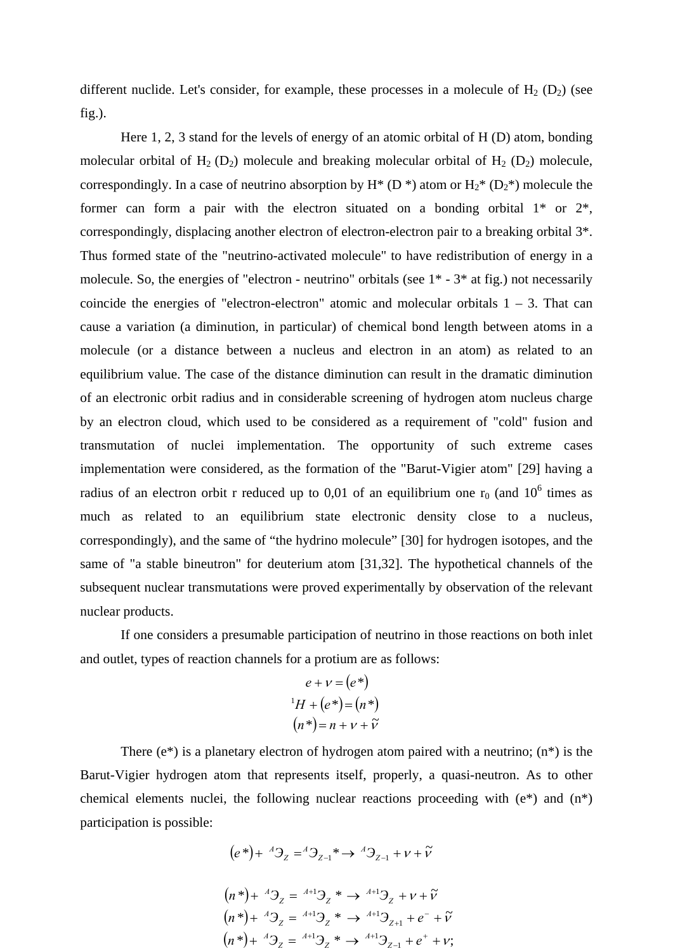different nuclide. Let's consider, for example, these processes in a molecule of  $H_2$  ( $D_2$ ) (see fig.).

Here 1, 2, 3 stand for the levels of energy of an atomic orbital of H (D) atom, bonding molecular orbital of  $H_2$  (D<sub>2</sub>) molecule and breaking molecular orbital of  $H_2$  (D<sub>2</sub>) molecule, correspondingly. In a case of neutrino absorption by  $H^*$  (D<sup>\*</sup>) atom or  $H_2^*$  (D<sub>2</sub><sup>\*</sup>) molecule the former can form a pair with the electron situated on a bonding orbital  $1^*$  or  $2^*$ , correspondingly, displacing another electron of electron-electron pair to a breaking orbital 3\*. Thus formed state of the "neutrino-activated molecule" to have redistribution of energy in a molecule. So, the energies of "electron - neutrino" orbitals (see 1\* - 3\* at fig.) not necessarily coincide the energies of "electron-electron" atomic and molecular orbitals  $1 - 3$ . That can cause a variation (a diminution, in particular) of chemical bond length between atoms in a molecule (or a distance between a nucleus and electron in an atom) as related to an equilibrium value. The case of the distance diminution can result in the dramatic diminution of an electronic orbit radius and in considerable screening of hydrogen atom nucleus charge by an electron cloud, which used to be considered as a requirement of "cold" fusion and transmutation of nuclei implementation. The opportunity of such extreme cases implementation were considered, as the formation of the "Barut-Vigier atom" [29] having a radius of an electron orbit r reduced up to 0,01 of an equilibrium one  $r_0$  (and 10<sup>6</sup> times as much as related to an equilibrium state electronic density close to a nucleus, correspondingly), and the same of "the hydrino molecule" [30] for hydrogen isotopes, and the same of "a stable bineutron" for deuterium atom [31,32]. The hypothetical channels of the subsequent nuclear transmutations were proved experimentally by observation of the relevant nuclear products.

If one considers a presumable participation of neutrino in those reactions on both inlet and outlet, types of reaction channels for a protium are as follows:

$$
e + v = (e^*)
$$
  

$$
{}^{1}H + (e^*) = (n^*)
$$
  

$$
(n^*) = n + v + \tilde{v}
$$

There  $(e^*)$  is a planetary electron of hydrogen atom paired with a neutrino;  $(n^*)$  is the Barut-Vigier hydrogen atom that represents itself, properly, a quasi-neutron. As to other chemical elements nuclei, the following nuclear reactions proceeding with (e\*) and (n\*) participation is possible:

$$
(e^*) + {}^A \mathfrak{Z}_z = {}^A \mathfrak{Z}_{z-1}^* \rightarrow {}^A \mathfrak{Z}_{z-1} + \nu + \tilde{\nu}
$$
  
\n
$$
(n^*) + {}^A \mathfrak{Z}_z = {}^{A+1} \mathfrak{Z}_z^* \rightarrow {}^{A+1} \mathfrak{Z}_z + \nu + \tilde{\nu}
$$
  
\n
$$
(n^*) + {}^A \mathfrak{Z}_z = {}^{A+1} \mathfrak{Z}_z^* \rightarrow {}^{A+1} \mathfrak{Z}_{z+1} + e^- + \tilde{\nu}
$$
  
\n
$$
(n^*) + {}^A \mathfrak{Z}_z = {}^{A+1} \mathfrak{Z}_z^* \rightarrow {}^{A+1} \mathfrak{Z}_{z-1} + e^+ + \nu;
$$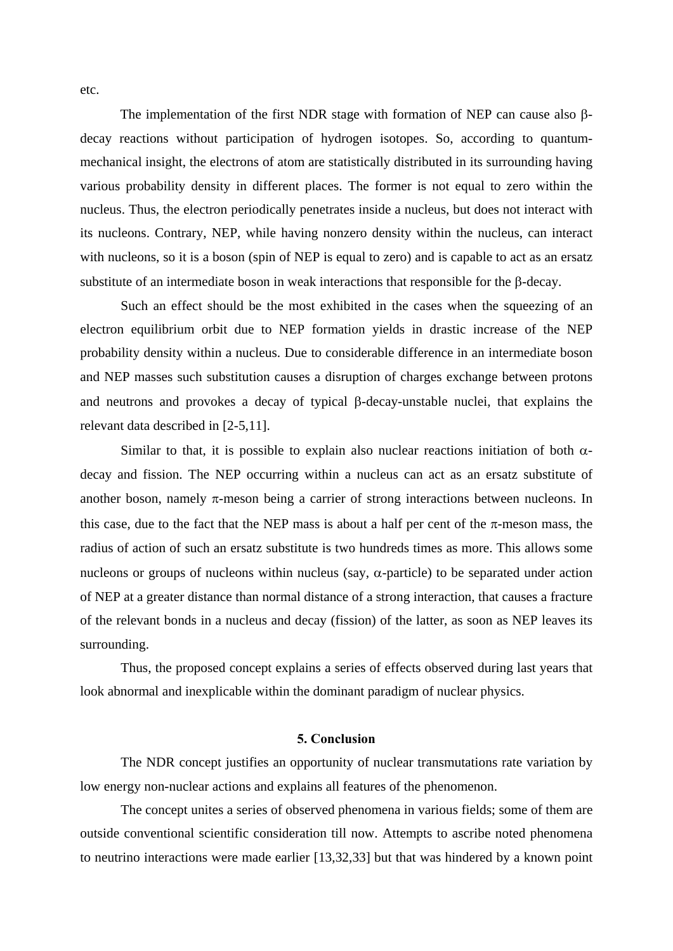The implementation of the first NDR stage with formation of NEP can cause also βdecay reactions without participation of hydrogen isotopes. So, according to quantummechanical insight, the electrons of atom are statistically distributed in its surrounding having various probability density in different places. The former is not equal to zero within the nucleus. Thus, the electron periodically penetrates inside a nucleus, but does not interact with its nucleons. Contrary, NEP, while having nonzero density within the nucleus, can interact with nucleons, so it is a boson (spin of NEP is equal to zero) and is capable to act as an ersatz substitute of an intermediate boson in weak interactions that responsible for the β-decay.

Such an effect should be the most exhibited in the cases when the squeezing of an electron equilibrium orbit due to NEP formation yields in drastic increase of the NEP probability density within a nucleus. Due to considerable difference in an intermediate boson and NEP masses such substitution causes a disruption of charges exchange between protons and neutrons and provokes a decay of typical β-decay-unstable nuclei, that explains the relevant data described in [2-5,11].

Similar to that, it is possible to explain also nuclear reactions initiation of both  $\alpha$ decay and fission. The NEP occurring within a nucleus can act as an ersatz substitute of another boson, namely  $\pi$ -meson being a carrier of strong interactions between nucleons. In this case, due to the fact that the NEP mass is about a half per cent of the  $\pi$ -meson mass, the radius of action of such an ersatz substitute is two hundreds times as more. This allows some nucleons or groups of nucleons within nucleus (say,  $\alpha$ -particle) to be separated under action of NEP at a greater distance than normal distance of a strong interaction, that causes a fracture of the relevant bonds in a nucleus and decay (fission) of the latter, as soon as NEP leaves its surrounding.

Thus, the proposed concept explains a series of effects observed during last years that look abnormal and inexplicable within the dominant paradigm of nuclear physics.

# **5. Conclusion**

The NDR concept justifies an opportunity of nuclear transmutations rate variation by low energy non-nuclear actions and explains all features of the phenomenon.

The concept unites a series of observed phenomena in various fields; some of them are outside conventional scientific consideration till now. Attempts to ascribe noted phenomena to neutrino interactions were made earlier [13,32,33] but that was hindered by a known point

etc.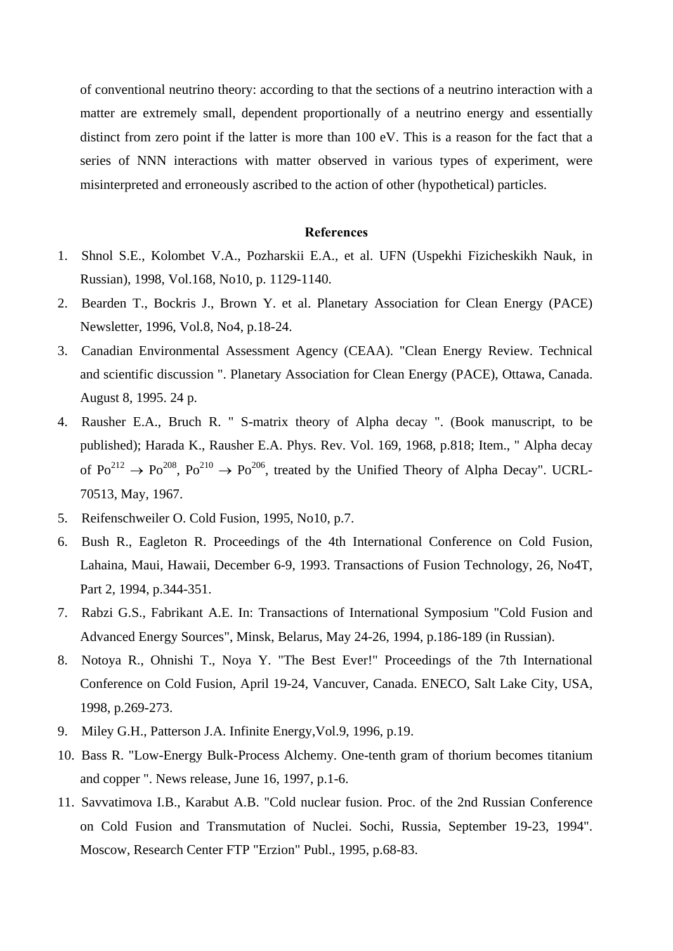of conventional neutrino theory: according to that the sections of a neutrino interaction with a matter are extremely small, dependent proportionally of a neutrino energy and essentially distinct from zero point if the latter is more than 100 eV. This is a reason for the fact that a series of NNN interactions with matter observed in various types of experiment, were misinterpreted and erroneously ascribed to the action of other (hypothetical) particles.

### **References**

- 1. Shnol S.E., Kolombet V.A., Pozharskii E.A., et al. UFN (Uspekhi Fizicheskikh Nauk, in Russian), 1998, Vol.168, No10, p. 1129-1140.
- 2. Bearden T., Bockris J., Brown Y. et al. Planetary Association for Clean Energy (PACE) Newsletter, 1996, Vol.8, No4, p.18-24.
- 3. Canadian Environmental Assessment Agency (CEAA). "Clean Energy Review. Technical and scientific discussion ". Planetary Association for Clean Energy (PACE), Ottawa, Canada. August 8, 1995. 24 p.
- 4. Rausher E.A., Bruch R. " S-matrix theory of Alpha decay ". (Book manuscript, to be published); Harada K., Rausher E.A. Phys. Rev. Vol. 169, 1968, p.818; Item., " Alpha decay of  $Po^{212} \rightarrow Po^{208}$ ,  $Po^{210} \rightarrow Po^{206}$ , treated by the Unified Theory of Alpha Decay". UCRL-70513, May, 1967.
- 5. Reifenschweiler O. Cold Fusion, 1995, No10, p.7.
- 6. Bush R., Eagleton R. Proceedings of the 4th International Conference on Cold Fusion, Lahaina, Maui, Hawaii, December 6-9, 1993. Transactions of Fusion Technology, 26, No4T, Part 2, 1994, p.344-351.
- 7. Rabzi G.S., Fabrikant A.E. In: Transactions of International Symposium "Cold Fusion and Advanced Energy Sources", Minsk, Belarus, May 24-26, 1994, p.186-189 (in Russian).
- 8. Notoya R., Ohnishi T., Noya Y. "The Best Ever!" Proceedings of the 7th International Conference on Cold Fusion, April 19-24, Vancuver, Canada. ENECO, Salt Lake City, USA, 1998, p.269-273.
- 9. Miley G.H., Patterson J.A. Infinite Energy,Vol.9, 1996, p.19.
- 10. Bass R. "Low-Energy Bulk-Process Alchemy. One-tenth gram of thorium becomes titanium and copper ". News release, June 16, 1997, p.1-6.
- 11. Savvatimova I.B., Karabut A.B. "Cold nuclear fusion. Proc. of the 2nd Russian Conference on Cold Fusion and Transmutation of Nuclei. Sochi, Russia, September 19-23, 1994". Moscow, Research Center FTP "Erzion" Publ., 1995, p.68-83.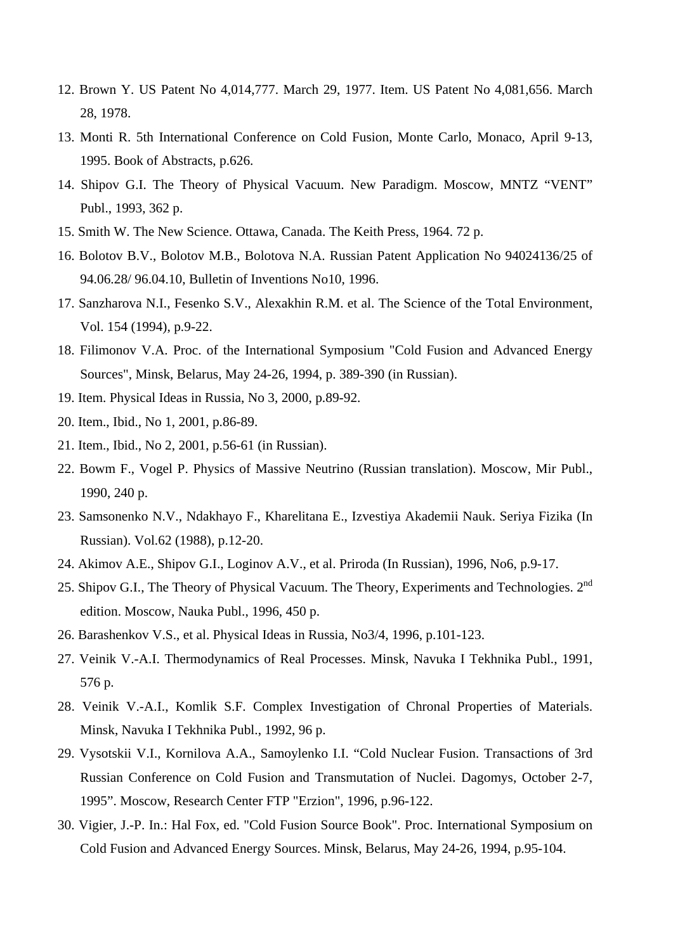- 12. Brown Y. US Patent No 4,014,777. March 29, 1977. Item. US Patent No 4,081,656. March 28, 1978.
- 13. Monti R. 5th International Conference on Cold Fusion, Monte Carlo, Monaco, April 9-13, 1995. Book of Abstracts, p.626.
- 14. Shipov G.I. The Theory of Physical Vacuum. New Paradigm. Moscow, MNTZ "VENT" Publ., 1993, 362 p.
- 15. Smith W. The New Science. Ottawa, Canada. The Keith Press, 1964. 72 p.
- 16. Bolotov B.V., Bolotov M.B., Bolotova N.A. Russian Patent Application No 94024136/25 of 94.06.28/ 96.04.10, Bulletin of Inventions No10, 1996.
- 17. Sanzharova N.I., Fesenko S.V., Alexakhin R.M. et al. The Science of the Total Environment, Vol. 154 (1994), p.9-22.
- 18. Filimonov V.A. Proc. of the International Symposium "Cold Fusion and Advanced Energy Sources", Minsk, Belarus, May 24-26, 1994, p. 389-390 (in Russian).
- 19. Item. Physical Ideas in Russia, No 3, 2000, p.89-92.
- 20. Item., Ibid., No 1, 2001, p.86-89.
- 21. Item., Ibid., No 2, 2001, p.56-61 (in Russian).
- 22. Bowm F., Vogel P. Physics of Massive Neutrino (Russian translation). Moscow, Mir Publ., 1990, 240 p.
- 23. Samsonenko N.V., Ndakhayo F., Kharelitana E., Izvestiya Akademii Nauk. Seriya Fizika (In Russian). Vol.62 (1988), p.12-20.
- 24. Akimov A.E., Shipov G.I., Loginov A.V., et al. Priroda (In Russian), 1996, No6, p.9-17.
- 25. Shipov G.I., The Theory of Physical Vacuum. The Theory, Experiments and Technologies. 2<sup>nd</sup> edition. Moscow, Nauka Publ., 1996, 450 p.
- 26. Barashenkov V.S., et al. Physical Ideas in Russia, No3/4, 1996, p.101-123.
- 27. Veinik V.-A.I. Thermodynamics of Real Processes. Minsk, Navuka I Tekhnika Publ., 1991, 576 p.
- 28. Veinik V.-A.I., Komlik S.F. Complex Investigation of Chronal Properties of Materials. Minsk, Navuka I Tekhnika Publ., 1992, 96 p.
- 29. Vysotskii V.I., Kornilova A.A., Samoylenko I.I. "Cold Nuclear Fusion. Transactions of 3rd Russian Conference on Cold Fusion and Transmutation of Nuclei. Dagomys, October 2-7, 1995". Moscow, Research Center FTP "Erzion", 1996, p.96-122.
- 30. Vigier, J.-P. In.: Hal Fox, ed. "Cold Fusion Source Book". Proc. International Symposium on Cold Fusion and Advanced Energy Sources. Minsk, Belarus, May 24-26, 1994, p.95-104.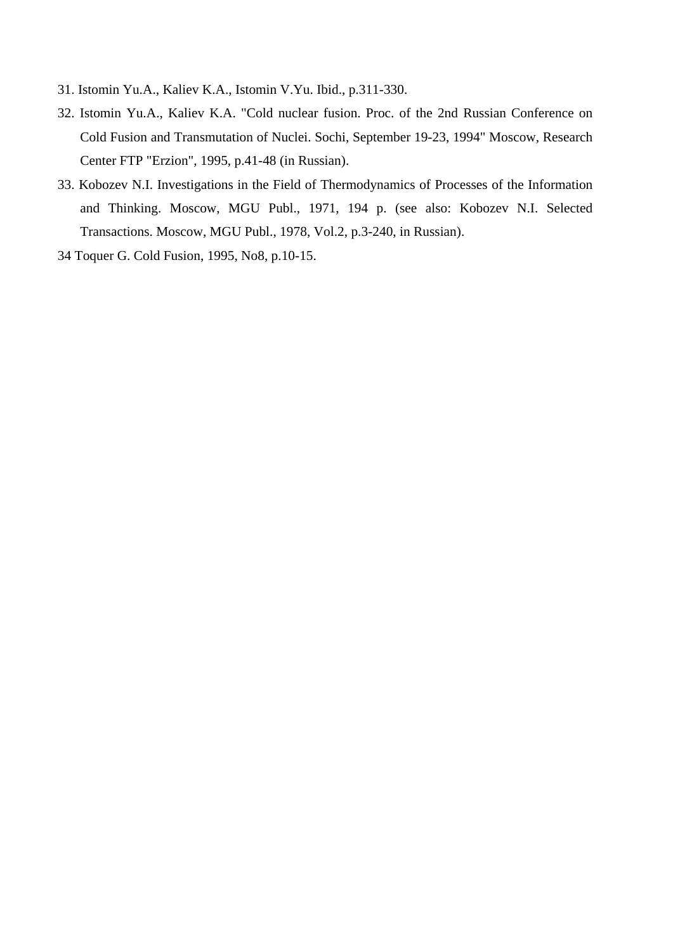- 31. Istomin Yu.A., Kaliev K.A., Istomin V.Yu. Ibid., p.311-330.
- 32. Istomin Yu.A., Kaliev K.A. "Cold nuclear fusion. Proc. of the 2nd Russian Conference on Cold Fusion and Transmutation of Nuclei. Sochi, September 19-23, 1994" Moscow, Research Center FTP "Erzion", 1995, p.41-48 (in Russian).
- 33. Kobozev N.I. Investigations in the Field of Thermodynamics of Processes of the Information and Thinking. Moscow, MGU Publ., 1971, 194 p. (see also: Kobozev N.I. Selected Transactions. Moscow, MGU Publ., 1978, Vol.2, p.3-240, in Russian).
- 34 Toquer G. Cold Fusion, 1995, No8, p.10-15.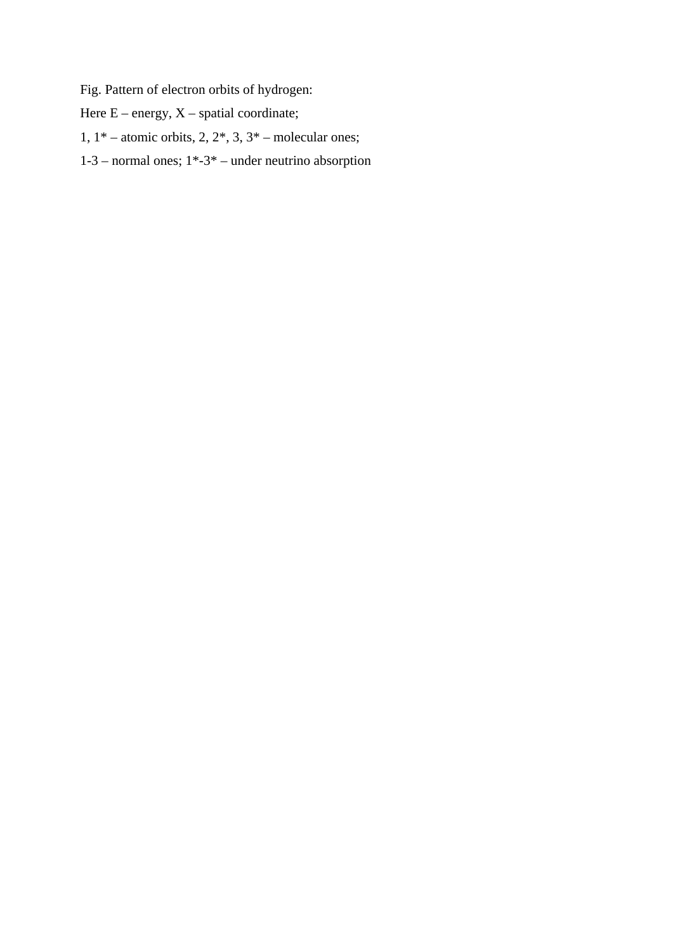Fig. Pattern of electron orbits of hydrogen:

Here  $E$  – energy,  $X$  – spatial coordinate;

1,  $1^*$  – atomic orbits, 2,  $2^*$ , 3,  $3^*$  – molecular ones;

1-3 – normal ones; 1\*-3\* – under neutrino absorption